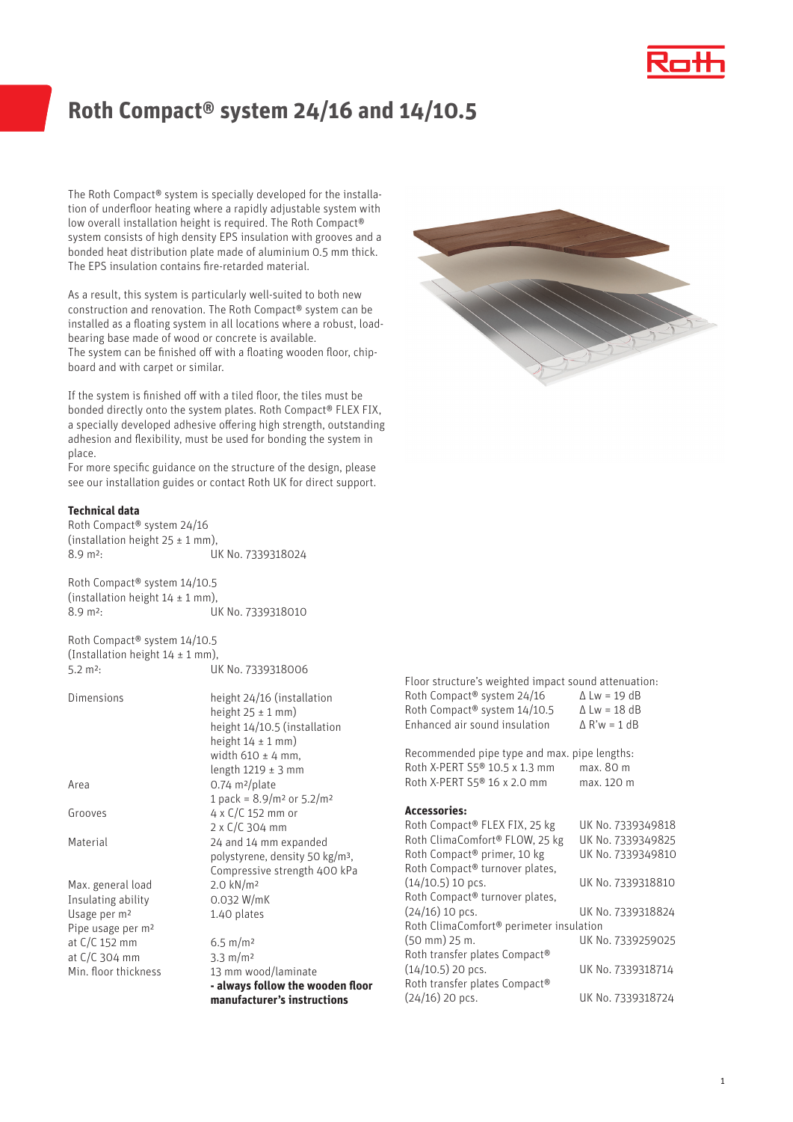# **Roth Compact® system 24/16 and 14/10.5**

The Roth Compact® system is specially developed for the installation of underfloor heating where a rapidly adjustable system with low overall installation height is required. The Roth Compact® system consists of high density EPS insulation with grooves and a bonded heat distribution plate made of aluminium 0.5 mm thick. The EPS insulation contains fire-retarded material.

As a result, this system is particularly well-suited to both new construction and renovation. The Roth Compact® system can be installed as a floating system in all locations where a robust, loadbearing base made of wood or concrete is available. The system can be finished off with a floating wooden floor, chipboard and with carpet or similar.

If the system is finished off with a tiled floor, the tiles must be bonded directly onto the system plates. Roth Compact® FLEX FIX, a specially developed adhesive offering high strength, outstanding adhesion and flexibility, must be used for bonding the system in place.

For more specific guidance on the structure of the design, please see our installation guides or contact Roth UK for direct support.

### **Technical data**

Roth Compact® system 24/16 (installation height  $25 \pm 1$  mm), 8.9 m<sup>2</sup>: UK No. 7339318024

Roth Compact® system 14/10.5 (installation height  $14 \pm 1$  mm), 8.9 m<sup>2</sup>: UK No. 7339318010

Roth Compact® system 14/10.5 (Installation height  $14 \pm 1$  mm), 5.2 m²: UK No. 7339318006

| Dimensions                    | height 24/16 (installation<br>height $25 \pm 1$ mm) |
|-------------------------------|-----------------------------------------------------|
|                               | height 14/10.5 (installation                        |
|                               | height $14 \pm 1$ mm)                               |
|                               | width $610 \pm 4$ mm,                               |
|                               | length $1219 \pm 3$ mm                              |
| Area                          | $0.74 \text{ m}^2/\text{plate}$                     |
|                               | 1 pack = $8.9/m^2$ or $5.2/m^2$                     |
| Grooves                       | 4 x $C/C$ 152 mm or                                 |
|                               | $2 \times C/C$ 304 mm                               |
| Material                      | 24 and 14 mm expanded                               |
|                               | polystyrene, density 50 kg/m <sup>3</sup> ,         |
|                               | Compressive strength 400 kPa                        |
| Max. general load             | $2.0 \text{ kN/m}^2$                                |
| Insulating ability            | 0.032 W/mK                                          |
| Usage per m <sup>2</sup>      | 1.40 plates                                         |
| Pipe usage per m <sup>2</sup> |                                                     |
| at C/C 152 mm                 | $6.5 \text{ m/m}^2$                                 |
| at C/C 304 mm                 | $3.3 \text{ m/m}^2$                                 |
| Min. floor thickness          | 13 mm wood/laminate                                 |
|                               | - always follow the wooden floor                    |
|                               | manufacturer's instructions                         |

Floor structure's weighted impact sound attenuation: Roth Compact® system  $24/16$   $\Delta$  Lw = 19 dB<br>Roth Compact® system  $14/10.5$   $\Delta$  Lw = 18 dB Roth Compact<sup>®</sup> system  $14/10.5$   $\Delta$  Lw = 18 dB<br>Enhanced air sound insulation  $\Delta$  R'w = 1 dB Enhanced air sound insulation

Recommended pipe type and max. pipe lengths: Roth X-PERT S5<sup>®</sup> 10.5 x 1.3 mm max. 80 m<br>Roth X-PERT S5<sup>®</sup> 16 x 2.0 mm max. 120 m Roth X-PERT  $S5@16x2.0$  mm

#### **Accessories:**

| Roth Compact® FLEX FIX, 25 kg                       | UK No. 7339349818 |  |
|-----------------------------------------------------|-------------------|--|
| Roth ClimaComfort® FLOW, 25 kg                      | UK No. 7339349825 |  |
| Roth Compact® primer, 10 kg                         | UK No. 7339349810 |  |
| Roth Compact® turnover plates,                      |                   |  |
| $(14/10.5)$ 10 pcs.                                 | UK No. 7339318810 |  |
| Roth Compact® turnover plates,                      |                   |  |
| $(24/16)$ 10 pcs.                                   | UK No. 7339318824 |  |
| Roth ClimaComfort <sup>®</sup> perimeter insulation |                   |  |
| (50 mm) 25 m.                                       | UK No. 7339259025 |  |
| Roth transfer plates Compact®                       |                   |  |
| $(14/10.5)$ 20 pcs.                                 | UK No. 7339318714 |  |
| Roth transfer plates Compact®                       |                   |  |
| $(24/16)$ 20 pcs.                                   | UK No. 7339318724 |  |
|                                                     |                   |  |